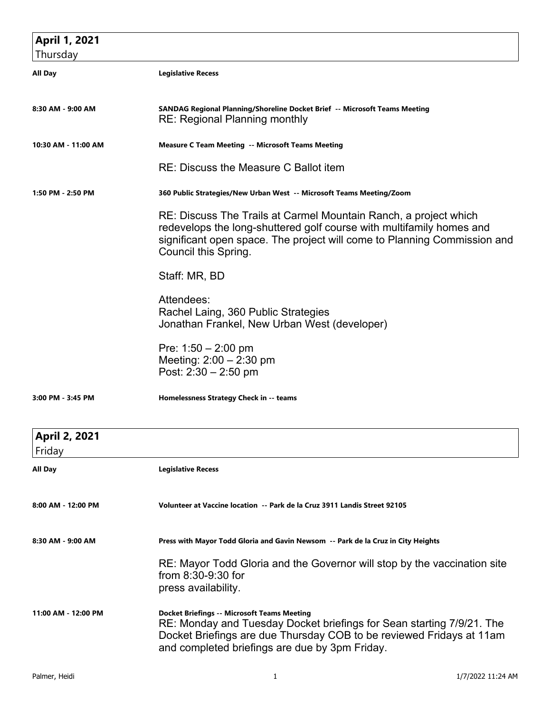| April 1, 2021                  |                                                                                                                                                                                                                                                       |
|--------------------------------|-------------------------------------------------------------------------------------------------------------------------------------------------------------------------------------------------------------------------------------------------------|
| Thursday                       |                                                                                                                                                                                                                                                       |
| All Day                        | <b>Legislative Recess</b>                                                                                                                                                                                                                             |
| 8:30 AM - 9:00 AM              | SANDAG Regional Planning/Shoreline Docket Brief -- Microsoft Teams Meeting<br><b>RE: Regional Planning monthly</b>                                                                                                                                    |
| 10:30 AM - 11:00 AM            | <b>Measure C Team Meeting -- Microsoft Teams Meeting</b>                                                                                                                                                                                              |
|                                | RE: Discuss the Measure C Ballot item                                                                                                                                                                                                                 |
| 1:50 PM - 2:50 PM              | 360 Public Strategies/New Urban West -- Microsoft Teams Meeting/Zoom                                                                                                                                                                                  |
|                                | RE: Discuss The Trails at Carmel Mountain Ranch, a project which<br>redevelops the long-shuttered golf course with multifamily homes and<br>significant open space. The project will come to Planning Commission and<br>Council this Spring.          |
|                                | Staff: MR, BD                                                                                                                                                                                                                                         |
|                                | Attendees:<br>Rachel Laing, 360 Public Strategies<br>Jonathan Frankel, New Urban West (developer)                                                                                                                                                     |
|                                | Pre: $1:50 - 2:00$ pm<br>Meeting: $2:00 - 2:30$ pm<br>Post: $2:30 - 2:50$ pm                                                                                                                                                                          |
| 3:00 PM - 3:45 PM              | Homelessness Strategy Check in -- teams                                                                                                                                                                                                               |
| <b>April 2, 2021</b><br>Friday |                                                                                                                                                                                                                                                       |
| All Day                        | <b>Legislative Recess</b>                                                                                                                                                                                                                             |
| 8:00 AM - 12:00 PM             | Volunteer at Vaccine location -- Park de la Cruz 3911 Landis Street 92105                                                                                                                                                                             |
| 8:30 AM - 9:00 AM              | Press with Mayor Todd Gloria and Gavin Newsom -- Park de la Cruz in City Heights                                                                                                                                                                      |
|                                | RE: Mayor Todd Gloria and the Governor will stop by the vaccination site<br>from 8:30-9:30 for<br>press availability.                                                                                                                                 |
| 11:00 AM - 12:00 PM            | <b>Docket Briefings -- Microsoft Teams Meeting</b><br>RE: Monday and Tuesday Docket briefings for Sean starting 7/9/21. The<br>Docket Briefings are due Thursday COB to be reviewed Fridays at 11am<br>and completed briefings are due by 3pm Friday. |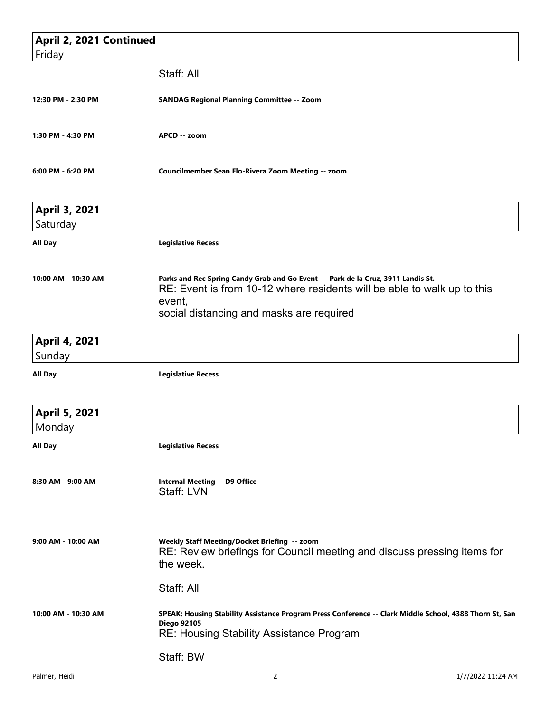| April 2, 2021 Continued        |                                                                                                                                                                                                                   |
|--------------------------------|-------------------------------------------------------------------------------------------------------------------------------------------------------------------------------------------------------------------|
| Friday                         |                                                                                                                                                                                                                   |
|                                | Staff: All                                                                                                                                                                                                        |
| 12:30 PM - 2:30 PM             | <b>SANDAG Regional Planning Committee -- Zoom</b>                                                                                                                                                                 |
| 1:30 PM - 4:30 PM              | APCD -- zoom                                                                                                                                                                                                      |
| 6:00 PM - 6:20 PM              | Councilmember Sean Elo-Rivera Zoom Meeting -- zoom                                                                                                                                                                |
| April 3, 2021<br>Saturday      |                                                                                                                                                                                                                   |
| All Day                        | <b>Legislative Recess</b>                                                                                                                                                                                         |
| 10:00 AM - 10:30 AM            | Parks and Rec Spring Candy Grab and Go Event -- Park de la Cruz, 3911 Landis St.<br>RE: Event is from 10-12 where residents will be able to walk up to this<br>event,<br>social distancing and masks are required |
| <b>April 4, 2021</b><br>Sunday |                                                                                                                                                                                                                   |
| <b>All Day</b>                 | <b>Legislative Recess</b>                                                                                                                                                                                         |
| April 5, 2021<br>Monday        |                                                                                                                                                                                                                   |
| All Day                        | <b>Legislative Recess</b>                                                                                                                                                                                         |
| 8:30 AM - 9:00 AM              | <b>Internal Meeting -- D9 Office</b><br>Staff: LVN                                                                                                                                                                |
| 9:00 AM - 10:00 AM             | Weekly Staff Meeting/Docket Briefing -- zoom<br>RE: Review briefings for Council meeting and discuss pressing items for<br>the week.                                                                              |
|                                | Staff: All                                                                                                                                                                                                        |
| 10:00 AM - 10:30 AM            | SPEAK: Housing Stability Assistance Program Press Conference -- Clark Middle School, 4388 Thorn St, San<br><b>Diego 92105</b><br><b>RE: Housing Stability Assistance Program</b>                                  |
|                                | Staff: BW                                                                                                                                                                                                         |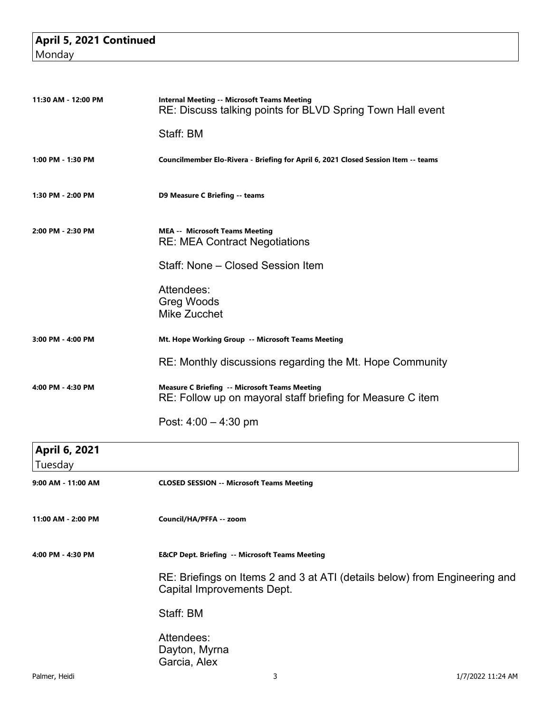## **April 5, 2021 Continued Monday**

| 11:30 AM - 12:00 PM | <b>Internal Meeting -- Microsoft Teams Meeting</b><br>RE: Discuss talking points for BLVD Spring Town Hall event   |  |  |  |
|---------------------|--------------------------------------------------------------------------------------------------------------------|--|--|--|
|                     | Staff: BM                                                                                                          |  |  |  |
| 1:00 PM - 1:30 PM   | Councilmember Elo-Rivera - Briefing for April 6, 2021 Closed Session Item -- teams                                 |  |  |  |
| 1:30 PM - 2:00 PM   | D9 Measure C Briefing -- teams                                                                                     |  |  |  |
| 2:00 PM - 2:30 PM   | <b>MEA -- Microsoft Teams Meeting</b><br><b>RE: MEA Contract Negotiations</b>                                      |  |  |  |
|                     | Staff: None - Closed Session Item                                                                                  |  |  |  |
|                     | Attendees:<br><b>Greg Woods</b><br>Mike Zucchet                                                                    |  |  |  |
| 3:00 PM - 4:00 PM   | Mt. Hope Working Group -- Microsoft Teams Meeting                                                                  |  |  |  |
|                     | RE: Monthly discussions regarding the Mt. Hope Community                                                           |  |  |  |
| 4:00 PM - 4:30 PM   | <b>Measure C Briefing -- Microsoft Teams Meeting</b><br>RE: Follow up on mayoral staff briefing for Measure C item |  |  |  |
|                     | Post: $4:00 - 4:30$ pm                                                                                             |  |  |  |
| April 6, 2021       |                                                                                                                    |  |  |  |
| Tuesday             |                                                                                                                    |  |  |  |

| <b>Tuesuay</b>     |                                                                                                          |
|--------------------|----------------------------------------------------------------------------------------------------------|
| 9:00 AM - 11:00 AM | <b>CLOSED SESSION -- Microsoft Teams Meeting</b>                                                         |
| 11:00 AM - 2:00 PM | Council/HA/PFFA -- zoom                                                                                  |
| 4:00 PM - 4:30 PM  | <b>E&amp;CP Dept. Briefing -- Microsoft Teams Meeting</b>                                                |
|                    | RE: Briefings on Items 2 and 3 at ATI (details below) from Engineering and<br>Capital Improvements Dept. |
|                    | Staff: BM                                                                                                |
|                    | Attendees:<br>Dayton, Myrna<br>Garcia, Alex                                                              |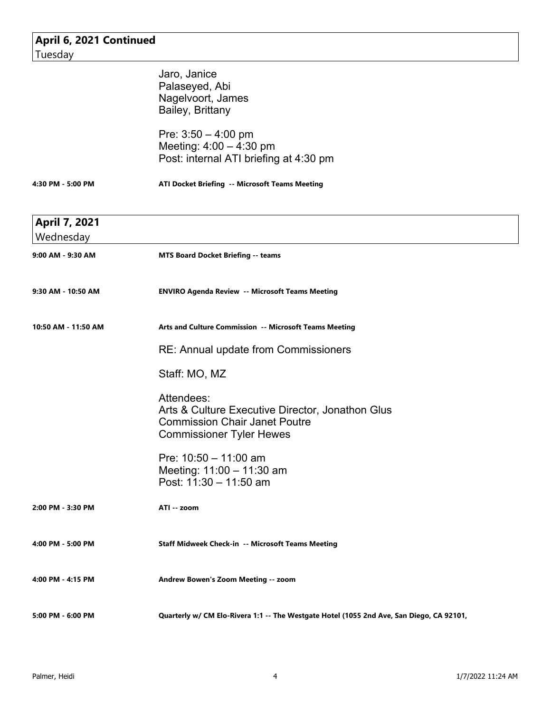| April 6, 2021 Continued |                                                                                          |
|-------------------------|------------------------------------------------------------------------------------------|
| Tuesday                 |                                                                                          |
|                         | Jaro, Janice                                                                             |
|                         | Palaseyed, Abi                                                                           |
|                         | Nagelvoort, James                                                                        |
|                         | Bailey, Brittany                                                                         |
|                         |                                                                                          |
|                         | Pre: $3:50 - 4:00$ pm                                                                    |
|                         | Meeting: $4:00 - 4:30$ pm                                                                |
|                         | Post: internal ATI briefing at 4:30 pm                                                   |
| 4:30 PM - 5:00 PM       | ATI Docket Briefing -- Microsoft Teams Meeting                                           |
| April 7, 2021           |                                                                                          |
| Wednesday               |                                                                                          |
| 9:00 AM - 9:30 AM       | <b>MTS Board Docket Briefing -- teams</b>                                                |
| 9:30 AM - 10:50 AM      | <b>ENVIRO Agenda Review -- Microsoft Teams Meeting</b>                                   |
| 10:50 AM - 11:50 AM     | Arts and Culture Commission -- Microsoft Teams Meeting                                   |
|                         | RE: Annual update from Commissioners                                                     |
|                         | Staff: MO, MZ                                                                            |
|                         | Attendees:                                                                               |
|                         | Arts & Culture Executive Director, Jonathon Glus                                         |
|                         | <b>Commission Chair Janet Poutre</b>                                                     |
|                         | <b>Commissioner Tyler Hewes</b>                                                          |
|                         |                                                                                          |
|                         | Pre: $10:50 - 11:00$ am                                                                  |
|                         | Meeting: $11:00 - 11:30$ am                                                              |
|                         | Post: 11:30 - 11:50 am                                                                   |
| 2:00 PM - 3:30 PM       | ATI -- zoom                                                                              |
| 4:00 PM - 5:00 PM       | Staff Midweek Check-in -- Microsoft Teams Meeting                                        |
| 4:00 PM - 4:15 PM       | Andrew Bowen's Zoom Meeting -- zoom                                                      |
| 5:00 PM - 6:00 PM       | Quarterly w/ CM Elo-Rivera 1:1 -- The Westgate Hotel (1055 2nd Ave, San Diego, CA 92101, |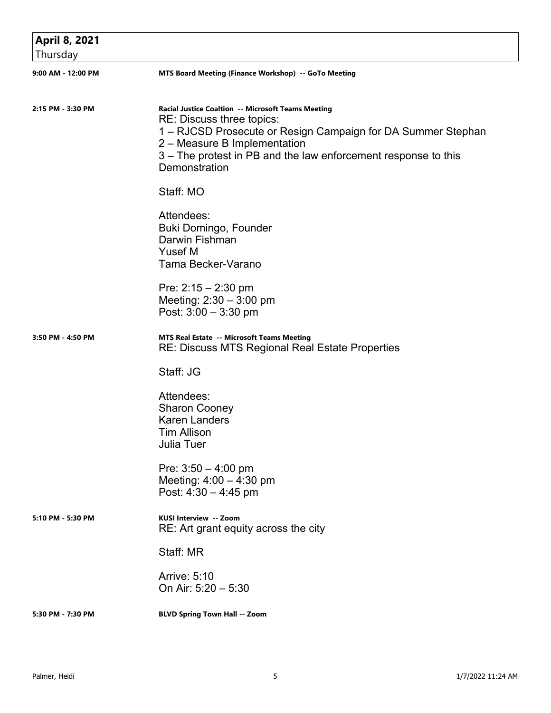| April 8, 2021      |                                                                                                                                                                                                                                                                    |
|--------------------|--------------------------------------------------------------------------------------------------------------------------------------------------------------------------------------------------------------------------------------------------------------------|
| Thursday           |                                                                                                                                                                                                                                                                    |
| 9:00 AM - 12:00 PM | MTS Board Meeting (Finance Workshop) -- GoTo Meeting                                                                                                                                                                                                               |
| 2:15 PM - 3:30 PM  | Racial Justice Coaltion -- Microsoft Teams Meeting<br>RE: Discuss three topics:<br>1 – RJCSD Prosecute or Resign Campaign for DA Summer Stephan<br>2 – Measure B Implementation<br>3 – The protest in PB and the law enforcement response to this<br>Demonstration |
|                    | Staff: MO                                                                                                                                                                                                                                                          |
|                    | Attendees:<br>Buki Domingo, Founder<br>Darwin Fishman<br>Yusef M<br>Tama Becker-Varano                                                                                                                                                                             |
|                    | Pre: $2:15 - 2:30$ pm<br>Meeting: $2:30 - 3:00$ pm<br>Post: 3:00 - 3:30 pm                                                                                                                                                                                         |
| 3:50 PM - 4:50 PM  | MTS Real Estate -- Microsoft Teams Meeting<br><b>RE: Discuss MTS Regional Real Estate Properties</b>                                                                                                                                                               |
|                    | Staff: JG                                                                                                                                                                                                                                                          |
|                    | Attendees:<br><b>Sharon Cooney</b><br><b>Karen Landers</b><br>Tim Allison<br><b>Julia Tuer</b>                                                                                                                                                                     |
|                    | Pre: $3:50 - 4:00$ pm<br>Meeting: $4:00 - 4:30$ pm<br>Post: $4:30 - 4:45$ pm                                                                                                                                                                                       |
| 5:10 PM - 5:30 PM  | KUSI Interview -- Zoom<br>RE: Art grant equity across the city                                                                                                                                                                                                     |
|                    | Staff: MR                                                                                                                                                                                                                                                          |
|                    | Arrive: 5:10<br>On Air: $5:20 - 5:30$                                                                                                                                                                                                                              |
| 5:30 PM - 7:30 PM  | <b>BLVD Spring Town Hall -- Zoom</b>                                                                                                                                                                                                                               |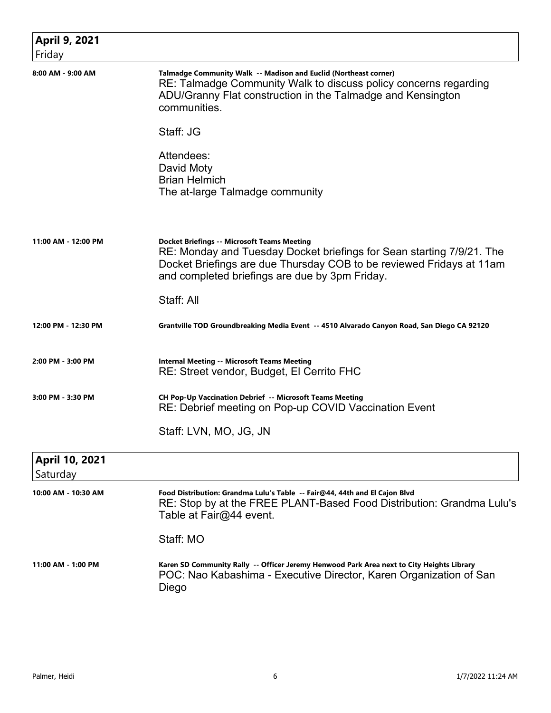| <b>April 9, 2021</b><br>Friday |                                                                                                                                                                                                                                                       |
|--------------------------------|-------------------------------------------------------------------------------------------------------------------------------------------------------------------------------------------------------------------------------------------------------|
| 8:00 AM - 9:00 AM              | Talmadge Community Walk -- Madison and Euclid (Northeast corner)<br>RE: Talmadge Community Walk to discuss policy concerns regarding<br>ADU/Granny Flat construction in the Talmadge and Kensington<br>communities.                                   |
|                                | Staff: JG                                                                                                                                                                                                                                             |
|                                | Attendees:<br>David Moty<br><b>Brian Helmich</b><br>The at-large Talmadge community                                                                                                                                                                   |
| 11:00 AM - 12:00 PM            | <b>Docket Briefings -- Microsoft Teams Meeting</b><br>RE: Monday and Tuesday Docket briefings for Sean starting 7/9/21. The<br>Docket Briefings are due Thursday COB to be reviewed Fridays at 11am<br>and completed briefings are due by 3pm Friday. |
|                                | Staff: All                                                                                                                                                                                                                                            |
| 12:00 PM - 12:30 PM            | Grantville TOD Groundbreaking Media Event -- 4510 Alvarado Canyon Road, San Diego CA 92120                                                                                                                                                            |
| 2:00 PM - 3:00 PM              | <b>Internal Meeting -- Microsoft Teams Meeting</b><br>RE: Street vendor, Budget, El Cerrito FHC                                                                                                                                                       |
| 3:00 PM - 3:30 PM              | CH Pop-Up Vaccination Debrief -- Microsoft Teams Meeting<br>RE: Debrief meeting on Pop-up COVID Vaccination Event                                                                                                                                     |
|                                | Staff: LVN, MO, JG, JN                                                                                                                                                                                                                                |
| April 10, 2021<br>Saturday     |                                                                                                                                                                                                                                                       |
| 10:00 AM - 10:30 AM            | Food Distribution: Grandma Lulu's Table -- Fair@44, 44th and El Cajon Blvd<br>RE: Stop by at the FREE PLANT-Based Food Distribution: Grandma Lulu's<br>Table at Fair@44 event.                                                                        |
|                                | Staff: MO                                                                                                                                                                                                                                             |
| 11:00 AM - 1:00 PM             | Karen SD Community Rally -- Officer Jeremy Henwood Park Area next to City Heights Library<br>POC: Nao Kabashima - Executive Director, Karen Organization of San<br>Diego                                                                              |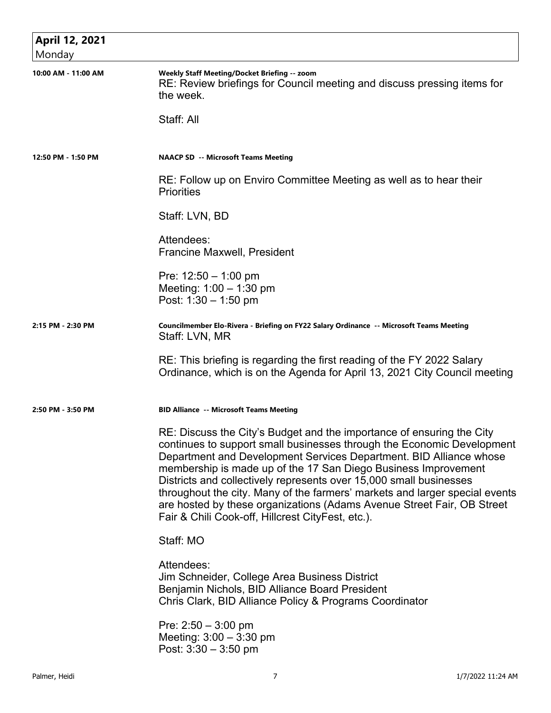| April 12, 2021      |                                                                                                                                                                                                                                                                                                                                                                                                                                                                                                                                                                             |
|---------------------|-----------------------------------------------------------------------------------------------------------------------------------------------------------------------------------------------------------------------------------------------------------------------------------------------------------------------------------------------------------------------------------------------------------------------------------------------------------------------------------------------------------------------------------------------------------------------------|
| Monday              |                                                                                                                                                                                                                                                                                                                                                                                                                                                                                                                                                                             |
| 10:00 AM - 11:00 AM | Weekly Staff Meeting/Docket Briefing -- zoom<br>RE: Review briefings for Council meeting and discuss pressing items for<br>the week.                                                                                                                                                                                                                                                                                                                                                                                                                                        |
|                     | Staff: All                                                                                                                                                                                                                                                                                                                                                                                                                                                                                                                                                                  |
| 12:50 PM - 1:50 PM  | <b>NAACP SD -- Microsoft Teams Meeting</b>                                                                                                                                                                                                                                                                                                                                                                                                                                                                                                                                  |
|                     | RE: Follow up on Enviro Committee Meeting as well as to hear their<br><b>Priorities</b>                                                                                                                                                                                                                                                                                                                                                                                                                                                                                     |
|                     | Staff: LVN, BD                                                                                                                                                                                                                                                                                                                                                                                                                                                                                                                                                              |
|                     | Attendees:<br><b>Francine Maxwell, President</b>                                                                                                                                                                                                                                                                                                                                                                                                                                                                                                                            |
|                     | Pre: $12:50 - 1:00$ pm<br>Meeting: $1:00 - 1:30$ pm<br>Post: $1:30 - 1:50$ pm                                                                                                                                                                                                                                                                                                                                                                                                                                                                                               |
| 2:15 PM - 2:30 PM   | Councilmember Elo-Rivera - Briefing on FY22 Salary Ordinance -- Microsoft Teams Meeting<br>Staff: LVN, MR                                                                                                                                                                                                                                                                                                                                                                                                                                                                   |
|                     | RE: This briefing is regarding the first reading of the FY 2022 Salary<br>Ordinance, which is on the Agenda for April 13, 2021 City Council meeting                                                                                                                                                                                                                                                                                                                                                                                                                         |
| 2:50 PM - 3:50 PM   | <b>BID Alliance -- Microsoft Teams Meeting</b>                                                                                                                                                                                                                                                                                                                                                                                                                                                                                                                              |
|                     | RE: Discuss the City's Budget and the importance of ensuring the City<br>continues to support small businesses through the Economic Development<br>Department and Development Services Department. BID Alliance whose<br>membership is made up of the 17 San Diego Business Improvement<br>Districts and collectively represents over 15,000 small businesses<br>throughout the city. Many of the farmers' markets and larger special events<br>are hosted by these organizations (Adams Avenue Street Fair, OB Street<br>Fair & Chili Cook-off, Hillcrest CityFest, etc.). |
|                     | Staff: MO                                                                                                                                                                                                                                                                                                                                                                                                                                                                                                                                                                   |
|                     | Attendees:<br>Jim Schneider, College Area Business District<br>Benjamin Nichols, BID Alliance Board President<br>Chris Clark, BID Alliance Policy & Programs Coordinator                                                                                                                                                                                                                                                                                                                                                                                                    |
|                     | Pre: $2:50 - 3:00$ pm<br>Meeting: $3:00 - 3:30$ pm<br>Post: $3:30 - 3:50$ pm                                                                                                                                                                                                                                                                                                                                                                                                                                                                                                |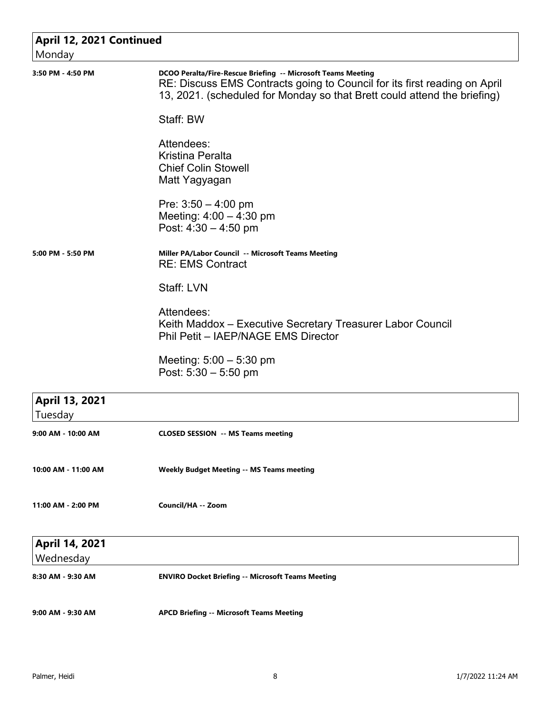| April 12, 2021 Continued    |                                                                                                                                                                                                                       |
|-----------------------------|-----------------------------------------------------------------------------------------------------------------------------------------------------------------------------------------------------------------------|
| Monday<br>3:50 PM - 4:50 PM | DCOO Peralta/Fire-Rescue Briefing -- Microsoft Teams Meeting<br>RE: Discuss EMS Contracts going to Council for its first reading on April<br>13, 2021. (scheduled for Monday so that Brett could attend the briefing) |
|                             | Staff: BW                                                                                                                                                                                                             |
|                             | Attendees:<br>Kristina Peralta<br><b>Chief Colin Stowell</b><br>Matt Yagyagan                                                                                                                                         |
|                             | Pre: $3:50 - 4:00$ pm<br>Meeting: $4:00 - 4:30$ pm<br>Post: $4:30 - 4:50$ pm                                                                                                                                          |
| 5:00 PM - 5:50 PM           | Miller PA/Labor Council -- Microsoft Teams Meeting<br><b>RE: EMS Contract</b>                                                                                                                                         |
|                             | Staff: LVN                                                                                                                                                                                                            |
|                             | Attendees:<br>Keith Maddox - Executive Secretary Treasurer Labor Council<br>Phil Petit - IAEP/NAGE EMS Director                                                                                                       |
|                             | Meeting: $5:00 - 5:30$ pm<br>Post: $5:30 - 5:50$ pm                                                                                                                                                                   |
| April 13, 2021<br>Tuesday   |                                                                                                                                                                                                                       |
| 9:00 AM - 10:00 AM          | <b>CLOSED SESSION -- MS Teams meeting</b>                                                                                                                                                                             |
| 10:00 AM - 11:00 AM         | <b>Weekly Budget Meeting -- MS Teams meeting</b>                                                                                                                                                                      |
| 11:00 AM - 2:00 PM          | Council/HA -- Zoom                                                                                                                                                                                                    |
| April 14, 2021<br>Wednesday |                                                                                                                                                                                                                       |
| 8:30 AM - 9:30 AM           | <b>ENVIRO Docket Briefing -- Microsoft Teams Meeting</b>                                                                                                                                                              |
| 9:00 AM - 9:30 AM           | <b>APCD Briefing -- Microsoft Teams Meeting</b>                                                                                                                                                                       |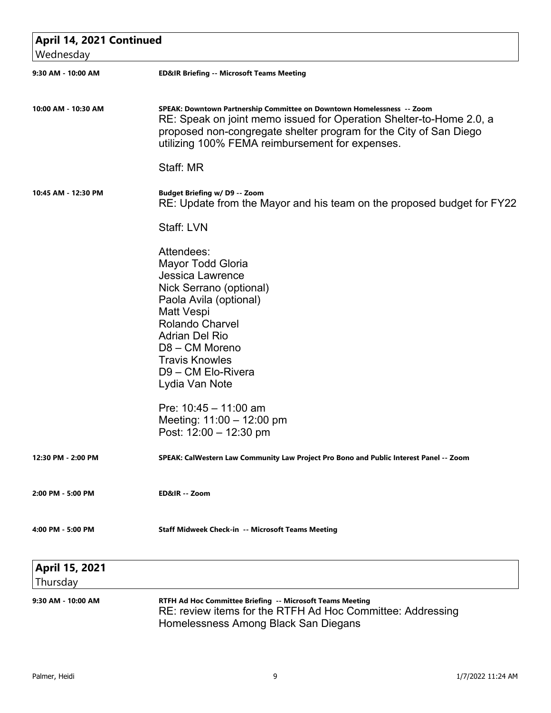| April 14, 2021 Continued |                                                                                                                                                                                                                                                                       |  |
|--------------------------|-----------------------------------------------------------------------------------------------------------------------------------------------------------------------------------------------------------------------------------------------------------------------|--|
| Wednesday                |                                                                                                                                                                                                                                                                       |  |
| 9:30 AM - 10:00 AM       | <b>ED&amp;IR Briefing -- Microsoft Teams Meeting</b>                                                                                                                                                                                                                  |  |
| 10:00 AM - 10:30 AM      | SPEAK: Downtown Partnership Committee on Downtown Homelessness -- Zoom<br>RE: Speak on joint memo issued for Operation Shelter-to-Home 2.0, a<br>proposed non-congregate shelter program for the City of San Diego<br>utilizing 100% FEMA reimbursement for expenses. |  |
|                          | Staff: MR                                                                                                                                                                                                                                                             |  |
| 10:45 AM - 12:30 PM      | <b>Budget Briefing w/ D9 -- Zoom</b><br>RE: Update from the Mayor and his team on the proposed budget for FY22                                                                                                                                                        |  |
|                          | Staff: LVN                                                                                                                                                                                                                                                            |  |
|                          | Attendees:<br>Mayor Todd Gloria<br><b>Jessica Lawrence</b><br>Nick Serrano (optional)<br>Paola Avila (optional)<br>Matt Vespi<br><b>Rolando Charvel</b><br><b>Adrian Del Rio</b><br>D8 - CM Moreno<br><b>Travis Knowles</b><br>D9 - CM Elo-Rivera<br>Lydia Van Note   |  |
|                          | Pre: $10:45 - 11:00$ am<br>Meeting: $11:00 - 12:00$ pm<br>Post: 12:00 - 12:30 pm                                                                                                                                                                                      |  |
| 12:30 PM - 2:00 PM       | SPEAK: CalWestern Law Community Law Project Pro Bono and Public Interest Panel -- Zoom                                                                                                                                                                                |  |
| 2:00 PM - 5:00 PM        | ED&IR -- Zoom                                                                                                                                                                                                                                                         |  |
| 4:00 PM - 5:00 PM        | Staff Midweek Check-in -- Microsoft Teams Meeting                                                                                                                                                                                                                     |  |
| April 15, 2021           |                                                                                                                                                                                                                                                                       |  |
| Thursday                 |                                                                                                                                                                                                                                                                       |  |
| 9:30 AM - 10:00 AM       | RTFH Ad Hoc Committee Briefing -- Microsoft Teams Meeting<br>RE: review items for the RTFH Ad Hoc Committee: Addressing<br>Homelessness Among Black San Diegans                                                                                                       |  |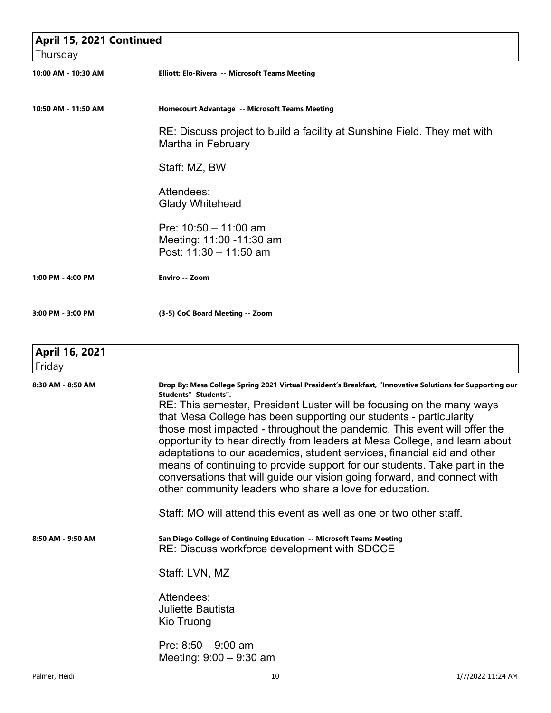| April 15, 2021 Continued |                                                                                                                                                                                                                                                                                                                                                                                                                                                                                                                                                                                                                                                                                                                                              |
|--------------------------|----------------------------------------------------------------------------------------------------------------------------------------------------------------------------------------------------------------------------------------------------------------------------------------------------------------------------------------------------------------------------------------------------------------------------------------------------------------------------------------------------------------------------------------------------------------------------------------------------------------------------------------------------------------------------------------------------------------------------------------------|
| Thursday                 |                                                                                                                                                                                                                                                                                                                                                                                                                                                                                                                                                                                                                                                                                                                                              |
| 10:00 AM - 10:30 AM      | Elliott: Elo-Rivera -- Microsoft Teams Meeting                                                                                                                                                                                                                                                                                                                                                                                                                                                                                                                                                                                                                                                                                               |
| 10:50 AM - 11:50 AM      | Homecourt Advantage -- Microsoft Teams Meeting                                                                                                                                                                                                                                                                                                                                                                                                                                                                                                                                                                                                                                                                                               |
|                          | RE: Discuss project to build a facility at Sunshine Field. They met with<br>Martha in February                                                                                                                                                                                                                                                                                                                                                                                                                                                                                                                                                                                                                                               |
|                          | Staff: MZ, BW                                                                                                                                                                                                                                                                                                                                                                                                                                                                                                                                                                                                                                                                                                                                |
|                          | Attendees:<br><b>Glady Whitehead</b>                                                                                                                                                                                                                                                                                                                                                                                                                                                                                                                                                                                                                                                                                                         |
|                          | Pre: $10:50 - 11:00$ am<br>Meeting: 11:00 -11:30 am<br>Post: 11:30 - 11:50 am                                                                                                                                                                                                                                                                                                                                                                                                                                                                                                                                                                                                                                                                |
| 1:00 PM - 4:00 PM        | Enviro -- Zoom                                                                                                                                                                                                                                                                                                                                                                                                                                                                                                                                                                                                                                                                                                                               |
| 3:00 PM - 3:00 PM        | (3-5) CoC Board Meeting -- Zoom                                                                                                                                                                                                                                                                                                                                                                                                                                                                                                                                                                                                                                                                                                              |
| April 16, 2021<br>Friday |                                                                                                                                                                                                                                                                                                                                                                                                                                                                                                                                                                                                                                                                                                                                              |
| 8:30 AM - 8:50 AM        | Drop By: Mesa College Spring 2021 Virtual President's Breakfast, "Innovative Solutions for Supporting our<br>Students" Students". --<br>RE: This semester, President Luster will be focusing on the many ways<br>that Mesa College has been supporting our students - particularity<br>those most impacted - throughout the pandemic. This event will offer the<br>opportunity to hear directly from leaders at Mesa College, and learn about<br>adaptations to our academics, student services, financial aid and other<br>means of continuing to provide support for our students. Take part in the<br>conversations that will guide our vision going forward, and connect with<br>other community leaders who share a love for education. |
|                          | Staff: MO will attend this event as well as one or two other staff.                                                                                                                                                                                                                                                                                                                                                                                                                                                                                                                                                                                                                                                                          |
| 8:50 AM - 9:50 AM        | San Diego College of Continuing Education -- Microsoft Teams Meeting<br>RE: Discuss workforce development with SDCCE                                                                                                                                                                                                                                                                                                                                                                                                                                                                                                                                                                                                                         |
|                          | Staff: LVN, MZ                                                                                                                                                                                                                                                                                                                                                                                                                                                                                                                                                                                                                                                                                                                               |
|                          | Attendees:<br><b>Juliette Bautista</b><br>Kio Truong                                                                                                                                                                                                                                                                                                                                                                                                                                                                                                                                                                                                                                                                                         |
|                          | Pre: $8:50 - 9:00$ am<br>Meeting: $9:00 - 9:30$ am                                                                                                                                                                                                                                                                                                                                                                                                                                                                                                                                                                                                                                                                                           |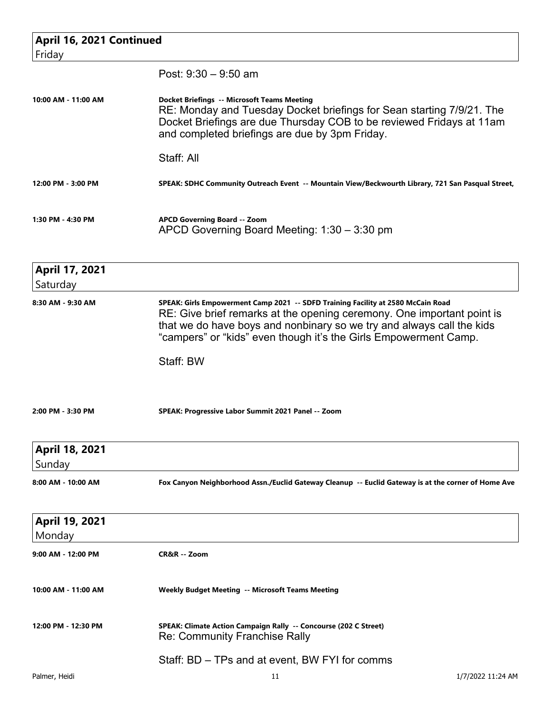| April 16, 2021 Continued   |                                                                                                                                                                                                                                                                                                         |                   |
|----------------------------|---------------------------------------------------------------------------------------------------------------------------------------------------------------------------------------------------------------------------------------------------------------------------------------------------------|-------------------|
| Friday                     |                                                                                                                                                                                                                                                                                                         |                   |
|                            | Post: $9:30 - 9:50$ am                                                                                                                                                                                                                                                                                  |                   |
| 10:00 AM - 11:00 AM        | <b>Docket Briefings -- Microsoft Teams Meeting</b><br>RE: Monday and Tuesday Docket briefings for Sean starting 7/9/21. The<br>Docket Briefings are due Thursday COB to be reviewed Fridays at 11am<br>and completed briefings are due by 3pm Friday.<br>Staff: All                                     |                   |
| 12:00 PM - 3:00 PM         | SPEAK: SDHC Community Outreach Event -- Mountain View/Beckwourth Library, 721 San Pasqual Street,                                                                                                                                                                                                       |                   |
| 1:30 PM - 4:30 PM          | <b>APCD Governing Board -- Zoom</b>                                                                                                                                                                                                                                                                     |                   |
|                            | APCD Governing Board Meeting: 1:30 - 3:30 pm                                                                                                                                                                                                                                                            |                   |
| April 17, 2021<br>Saturday |                                                                                                                                                                                                                                                                                                         |                   |
| 8:30 AM - 9:30 AM          | SPEAK: Girls Empowerment Camp 2021 -- SDFD Training Facility at 2580 McCain Road<br>RE: Give brief remarks at the opening ceremony. One important point is<br>that we do have boys and nonbinary so we try and always call the kids<br>"campers" or "kids" even though it's the Girls Empowerment Camp. |                   |
|                            | Staff: BW                                                                                                                                                                                                                                                                                               |                   |
| 2:00 PM - 3:30 PM          | SPEAK: Progressive Labor Summit 2021 Panel -- Zoom                                                                                                                                                                                                                                                      |                   |
| April 18, 2021             |                                                                                                                                                                                                                                                                                                         |                   |
| Sunday                     |                                                                                                                                                                                                                                                                                                         |                   |
| 8:00 AM - 10:00 AM         | Fox Canyon Neighborhood Assn./Euclid Gateway Cleanup -- Euclid Gateway is at the corner of Home Ave                                                                                                                                                                                                     |                   |
| April 19, 2021             |                                                                                                                                                                                                                                                                                                         |                   |
| Monday                     |                                                                                                                                                                                                                                                                                                         |                   |
| 9:00 AM - 12:00 PM         | CR&R -- Zoom                                                                                                                                                                                                                                                                                            |                   |
| 10:00 AM - 11:00 AM        | <b>Weekly Budget Meeting -- Microsoft Teams Meeting</b>                                                                                                                                                                                                                                                 |                   |
| 12:00 PM - 12:30 PM        | SPEAK: Climate Action Campaign Rally -- Concourse (202 C Street)<br><b>Re: Community Franchise Rally</b>                                                                                                                                                                                                |                   |
|                            | Staff: BD – TPs and at event, BW FYI for comms                                                                                                                                                                                                                                                          |                   |
| Palmer, Heidi              | 11                                                                                                                                                                                                                                                                                                      | 1/7/2022 11:24 AM |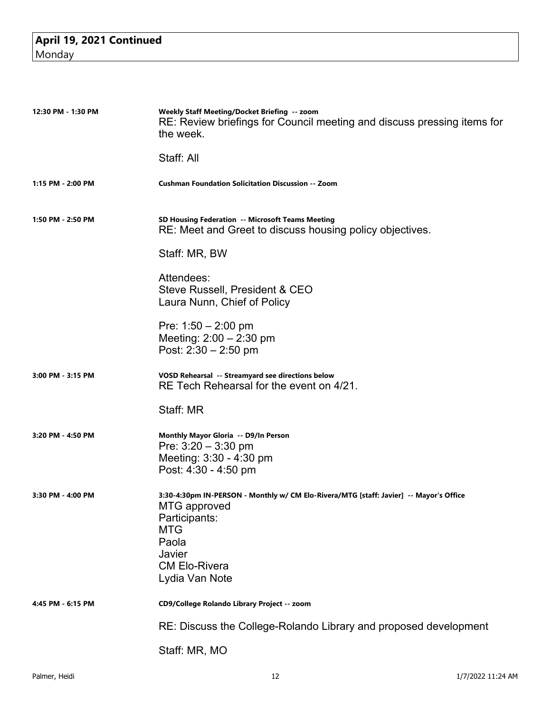| 12:30 PM - 1:30 PM | Weekly Staff Meeting/Docket Briefing -- zoom<br>RE: Review briefings for Council meeting and discuss pressing items for<br>the week.                                                                      |
|--------------------|-----------------------------------------------------------------------------------------------------------------------------------------------------------------------------------------------------------|
|                    | Staff: All                                                                                                                                                                                                |
| 1:15 PM - 2:00 PM  | <b>Cushman Foundation Solicitation Discussion -- Zoom</b>                                                                                                                                                 |
| 1:50 PM - 2:50 PM  | SD Housing Federation -- Microsoft Teams Meeting<br>RE: Meet and Greet to discuss housing policy objectives.                                                                                              |
|                    | Staff: MR, BW                                                                                                                                                                                             |
|                    | Attendees:<br>Steve Russell, President & CEO<br>Laura Nunn, Chief of Policy                                                                                                                               |
|                    | Pre: 1:50 - 2:00 pm<br>Meeting: $2:00 - 2:30$ pm<br>Post: $2:30 - 2:50$ pm                                                                                                                                |
| 3:00 PM - 3:15 PM  | VOSD Rehearsal -- Streamyard see directions below<br>RE Tech Rehearsal for the event on 4/21.                                                                                                             |
|                    | Staff: MR                                                                                                                                                                                                 |
| 3:20 PM - 4:50 PM  | Monthly Mayor Gloria -- D9/In Person<br>Pre: 3:20 - 3:30 pm<br>Meeting: 3:30 - 4:30 pm<br>Post: 4:30 - 4:50 pm                                                                                            |
| 3:30 PM - 4:00 PM  | 3:30-4:30pm IN-PERSON - Monthly w/ CM Elo-Rivera/MTG [staff: Javier] -- Mayor's Office<br><b>MTG</b> approved<br>Participants:<br><b>MTG</b><br>Paola<br>Javier<br><b>CM Elo-Rivera</b><br>Lydia Van Note |
| 4:45 PM - 6:15 PM  | CD9/College Rolando Library Project -- zoom                                                                                                                                                               |
|                    | RE: Discuss the College-Rolando Library and proposed development                                                                                                                                          |
|                    | Staff: MR, MO                                                                                                                                                                                             |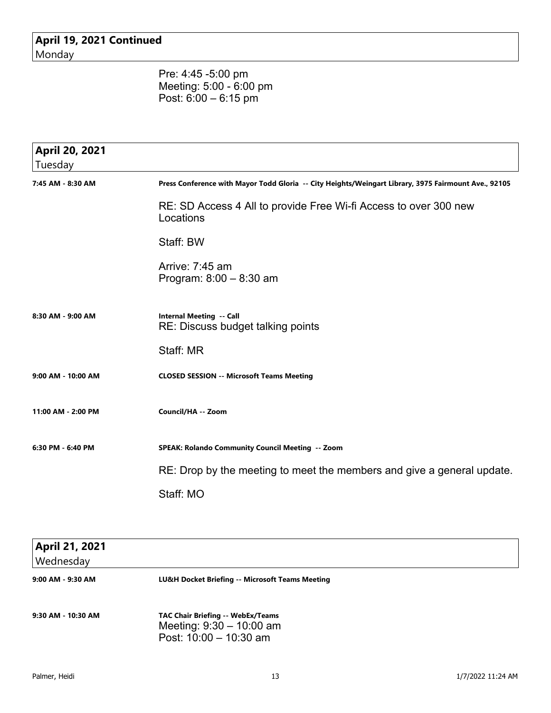**April 19, 2021 Continued** Monday

> Pre: 4:45 -5:00 pm Meeting: 5:00 - 6:00 pm Post: 6:00 – 6:15 pm

| April 20, 2021<br>Tuesday |                                                                                                      |
|---------------------------|------------------------------------------------------------------------------------------------------|
| 7:45 AM - 8:30 AM         | Press Conference with Mayor Todd Gloria -- City Heights/Weingart Library, 3975 Fairmount Ave., 92105 |
|                           | RE: SD Access 4 All to provide Free Wi-fi Access to over 300 new<br>Locations                        |
|                           | Staff: BW                                                                                            |
|                           | Arrive: $7:45$ am<br>Program: $8:00 - 8:30$ am                                                       |
| 8:30 AM - 9:00 AM         | <b>Internal Meeting -- Call</b><br>RE: Discuss budget talking points                                 |
|                           | Staff: MR                                                                                            |
| 9:00 AM - 10:00 AM        | <b>CLOSED SESSION -- Microsoft Teams Meeting</b>                                                     |
| 11:00 AM - 2:00 PM        | Council/HA -- Zoom                                                                                   |
| 6:30 PM - 6:40 PM         | SPEAK: Rolando Community Council Meeting -- Zoom                                                     |
|                           | RE: Drop by the meeting to meet the members and give a general update.                               |
|                           | Staff: MO                                                                                            |

| <b>April 21, 2021</b><br>Wednesday |                                                                                                    |  |
|------------------------------------|----------------------------------------------------------------------------------------------------|--|
| 9:00 AM - 9:30 AM                  | LU&H Docket Briefing -- Microsoft Teams Meeting                                                    |  |
| 9:30 AM - 10:30 AM                 | <b>TAC Chair Briefing -- WebEx/Teams</b><br>Meeting: $9:30 - 10:00$ am<br>Post: $10:00 - 10:30$ am |  |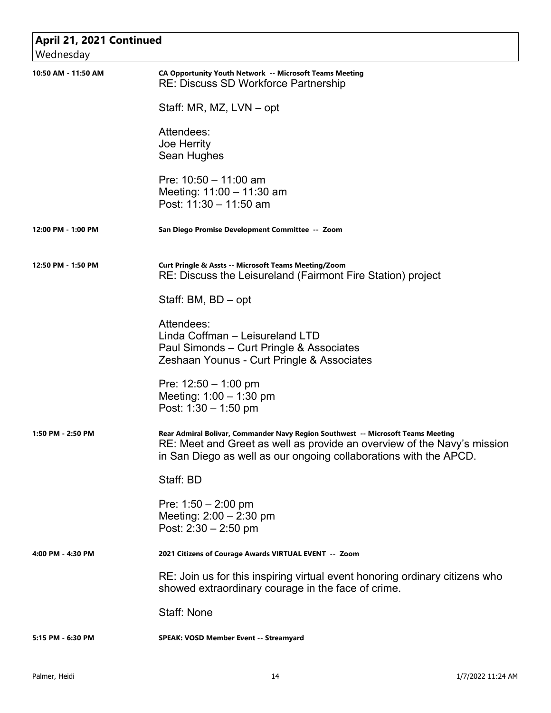| April 21, 2021 Continued<br>Wednesday |                                                                                                                                                                                                                                  |
|---------------------------------------|----------------------------------------------------------------------------------------------------------------------------------------------------------------------------------------------------------------------------------|
| 10:50 AM - 11:50 AM                   | CA Opportunity Youth Network -- Microsoft Teams Meeting<br><b>RE: Discuss SD Workforce Partnership</b>                                                                                                                           |
|                                       | Staff: MR, MZ, LVN – opt                                                                                                                                                                                                         |
|                                       | Attendees:<br>Joe Herrity<br>Sean Hughes                                                                                                                                                                                         |
|                                       | Pre: $10:50 - 11:00$ am<br>Meeting: 11:00 - 11:30 am<br>Post: $11:30 - 11:50$ am                                                                                                                                                 |
| 12:00 PM - 1:00 PM                    | San Diego Promise Development Committee -- Zoom                                                                                                                                                                                  |
| 12:50 PM - 1:50 PM                    | <b>Curt Pringle &amp; Assts -- Microsoft Teams Meeting/Zoom</b><br>RE: Discuss the Leisureland (Fairmont Fire Station) project                                                                                                   |
|                                       | Staff: BM, BD - opt                                                                                                                                                                                                              |
|                                       | Attendees:<br>Linda Coffman - Leisureland LTD<br>Paul Simonds – Curt Pringle & Associates<br>Zeshaan Younus - Curt Pringle & Associates                                                                                          |
|                                       | Pre: $12:50 - 1:00$ pm<br>Meeting: $1:00 - 1:30$ pm<br>Post: $1:30 - 1:50$ pm                                                                                                                                                    |
| 1:50 PM - 2:50 PM                     | Rear Admiral Bolivar, Commander Navy Region Southwest -- Microsoft Teams Meeting<br>RE: Meet and Greet as well as provide an overview of the Navy's mission<br>in San Diego as well as our ongoing collaborations with the APCD. |
|                                       | Staff: BD                                                                                                                                                                                                                        |
|                                       | Pre: $1:50 - 2:00$ pm<br>Meeting: $2:00 - 2:30$ pm<br>Post: $2:30 - 2:50$ pm                                                                                                                                                     |
| 4:00 PM - 4:30 PM                     | 2021 Citizens of Courage Awards VIRTUAL EVENT -- Zoom                                                                                                                                                                            |
|                                       | RE: Join us for this inspiring virtual event honoring ordinary citizens who<br>showed extraordinary courage in the face of crime.                                                                                                |
|                                       | <b>Staff: None</b>                                                                                                                                                                                                               |
| 5:15 PM - 6:30 PM                     | <b>SPEAK: VOSD Member Event -- Streamyard</b>                                                                                                                                                                                    |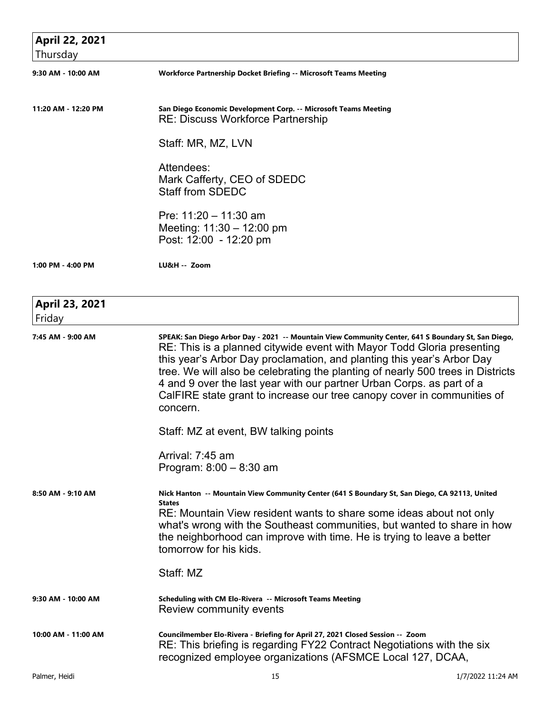| April 22, 2021<br>Thursday |                                                                                                                                                                                                                                                                                                                                                                                                                                                                                                           |
|----------------------------|-----------------------------------------------------------------------------------------------------------------------------------------------------------------------------------------------------------------------------------------------------------------------------------------------------------------------------------------------------------------------------------------------------------------------------------------------------------------------------------------------------------|
| 9:30 AM - 10:00 AM         | Workforce Partnership Docket Briefing -- Microsoft Teams Meeting                                                                                                                                                                                                                                                                                                                                                                                                                                          |
| 11:20 AM - 12:20 PM        | San Diego Economic Development Corp. -- Microsoft Teams Meeting<br><b>RE: Discuss Workforce Partnership</b>                                                                                                                                                                                                                                                                                                                                                                                               |
|                            | Staff: MR, MZ, LVN                                                                                                                                                                                                                                                                                                                                                                                                                                                                                        |
|                            | Attendees:<br>Mark Cafferty, CEO of SDEDC<br><b>Staff from SDEDC</b>                                                                                                                                                                                                                                                                                                                                                                                                                                      |
|                            | Pre: $11:20 - 11:30$ am<br>Meeting: $11:30 - 12:00$ pm<br>Post: 12:00 - 12:20 pm                                                                                                                                                                                                                                                                                                                                                                                                                          |
| 1:00 PM - 4:00 PM          | LU&H -- Zoom                                                                                                                                                                                                                                                                                                                                                                                                                                                                                              |
| April 23, 2021<br>Friday   |                                                                                                                                                                                                                                                                                                                                                                                                                                                                                                           |
| 7:45 AM - 9:00 AM          | SPEAK: San Diego Arbor Day - 2021 -- Mountain View Community Center, 641 S Boundary St, San Diego,<br>RE: This is a planned citywide event with Mayor Todd Gloria presenting<br>this year's Arbor Day proclamation, and planting this year's Arbor Day<br>tree. We will also be celebrating the planting of nearly 500 trees in Districts<br>4 and 9 over the last year with our partner Urban Corps. as part of a<br>CalFIRE state grant to increase our tree canopy cover in communities of<br>concern. |
|                            | Staff: MZ at event, BW talking points                                                                                                                                                                                                                                                                                                                                                                                                                                                                     |
|                            | Arrival: 7:45 am<br>Program: $8:00 - 8:30$ am                                                                                                                                                                                                                                                                                                                                                                                                                                                             |
| 8:50 AM - 9:10 AM          | Nick Hanton -- Mountain View Community Center (641 S Boundary St, San Diego, CA 92113, United<br><b>States</b><br>RE: Mountain View resident wants to share some ideas about not only<br>what's wrong with the Southeast communities, but wanted to share in how<br>the neighborhood can improve with time. He is trying to leave a better<br>tomorrow for his kids.                                                                                                                                      |
|                            | Staff: MZ                                                                                                                                                                                                                                                                                                                                                                                                                                                                                                 |
| 9:30 AM - 10:00 AM         | Scheduling with CM Elo-Rivera -- Microsoft Teams Meeting<br>Review community events                                                                                                                                                                                                                                                                                                                                                                                                                       |
| 10:00 AM - 11:00 AM        | Councilmember Elo-Rivera - Briefing for April 27, 2021 Closed Session -- Zoom<br>RE: This briefing is regarding FY22 Contract Negotiations with the six<br>recognized employee organizations (AFSMCE Local 127, DCAA,                                                                                                                                                                                                                                                                                     |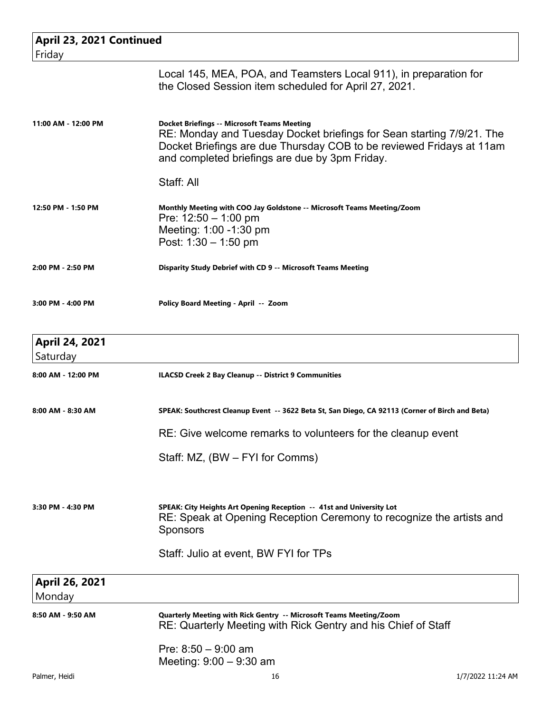| April 23, 2021 Continued          |                                                                                                                                                                                                                                                       |
|-----------------------------------|-------------------------------------------------------------------------------------------------------------------------------------------------------------------------------------------------------------------------------------------------------|
| Friday                            |                                                                                                                                                                                                                                                       |
|                                   | Local 145, MEA, POA, and Teamsters Local 911), in preparation for<br>the Closed Session item scheduled for April 27, 2021.                                                                                                                            |
| 11:00 AM - 12:00 PM               | <b>Docket Briefings -- Microsoft Teams Meeting</b><br>RE: Monday and Tuesday Docket briefings for Sean starting 7/9/21. The<br>Docket Briefings are due Thursday COB to be reviewed Fridays at 11am<br>and completed briefings are due by 3pm Friday. |
|                                   | Staff: All                                                                                                                                                                                                                                            |
| 12:50 PM - 1:50 PM                | Monthly Meeting with COO Jay Goldstone -- Microsoft Teams Meeting/Zoom<br>Pre: $12:50 - 1:00$ pm<br>Meeting: 1:00 -1:30 pm<br>Post: $1:30 - 1:50$ pm                                                                                                  |
| 2:00 PM - 2:50 PM                 | Disparity Study Debrief with CD 9 -- Microsoft Teams Meeting                                                                                                                                                                                          |
| 3:00 PM - 4:00 PM                 | Policy Board Meeting - April -- Zoom                                                                                                                                                                                                                  |
| <b>April 24, 2021</b><br>Saturday |                                                                                                                                                                                                                                                       |
| 8:00 AM - 12:00 PM                | <b>ILACSD Creek 2 Bay Cleanup -- District 9 Communities</b>                                                                                                                                                                                           |
| 8:00 AM - 8:30 AM                 | SPEAK: Southcrest Cleanup Event -- 3622 Beta St, San Diego, CA 92113 (Corner of Birch and Beta)                                                                                                                                                       |
|                                   | RE: Give welcome remarks to volunteers for the cleanup event                                                                                                                                                                                          |
|                                   | Staff: MZ, (BW – FYI for Comms)                                                                                                                                                                                                                       |
| 3:30 PM - 4:30 PM                 | SPEAK: City Heights Art Opening Reception -- 41st and University Lot<br>RE: Speak at Opening Reception Ceremony to recognize the artists and<br><b>Sponsors</b>                                                                                       |
|                                   | Staff: Julio at event, BW FYI for TPs                                                                                                                                                                                                                 |
| April 26, 2021<br>Monday          |                                                                                                                                                                                                                                                       |
| 8:50 AM - 9:50 AM                 | Quarterly Meeting with Rick Gentry -- Microsoft Teams Meeting/Zoom<br>RE: Quarterly Meeting with Rick Gentry and his Chief of Staff                                                                                                                   |
|                                   | Pre: $8:50 - 9:00$ am<br>Meeting: $9:00 - 9:30$ am                                                                                                                                                                                                    |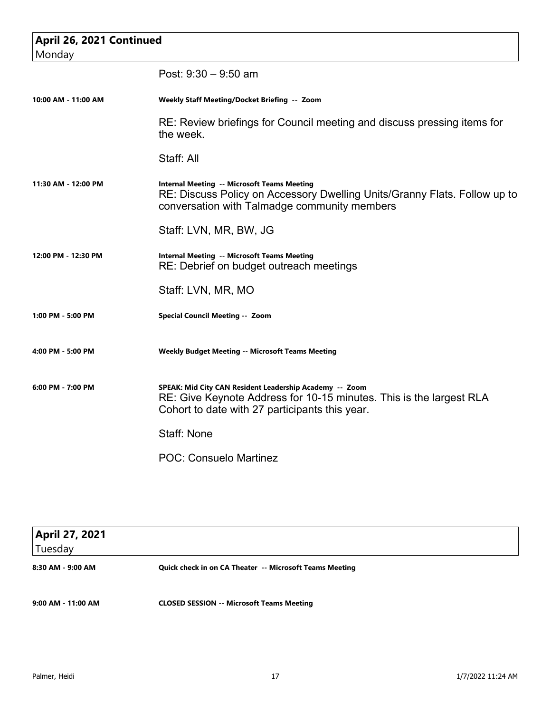| April 26, 2021 Continued<br>Monday |                                                                                                                                                                                  |
|------------------------------------|----------------------------------------------------------------------------------------------------------------------------------------------------------------------------------|
|                                    | Post: $9:30 - 9:50$ am                                                                                                                                                           |
| 10:00 AM - 11:00 AM                | Weekly Staff Meeting/Docket Briefing -- Zoom                                                                                                                                     |
|                                    | RE: Review briefings for Council meeting and discuss pressing items for<br>the week.                                                                                             |
|                                    | Staff: All                                                                                                                                                                       |
| 11:30 AM - 12:00 PM                | <b>Internal Meeting -- Microsoft Teams Meeting</b><br>RE: Discuss Policy on Accessory Dwelling Units/Granny Flats. Follow up to<br>conversation with Talmadge community members  |
|                                    | Staff: LVN, MR, BW, JG                                                                                                                                                           |
| 12:00 PM - 12:30 PM                | <b>Internal Meeting -- Microsoft Teams Meeting</b><br>RE: Debrief on budget outreach meetings                                                                                    |
|                                    | Staff: LVN, MR, MO                                                                                                                                                               |
| 1:00 PM - 5:00 PM                  | Special Council Meeting -- Zoom                                                                                                                                                  |
| 4:00 PM - 5:00 PM                  | <b>Weekly Budget Meeting -- Microsoft Teams Meeting</b>                                                                                                                          |
| 6:00 PM - 7:00 PM                  | SPEAK: Mid City CAN Resident Leadership Academy -- Zoom<br>RE: Give Keynote Address for 10-15 minutes. This is the largest RLA<br>Cohort to date with 27 participants this year. |
|                                    | <b>Staff: None</b>                                                                                                                                                               |
|                                    | <b>POC: Consuelo Martinez</b>                                                                                                                                                    |

| <b>April 27, 2021</b><br>Tuesday |                                                         |
|----------------------------------|---------------------------------------------------------|
|                                  |                                                         |
| 8:30 AM - 9:00 AM                | Quick check in on CA Theater -- Microsoft Teams Meeting |
| 9:00 AM - 11:00 AM               | <b>CLOSED SESSION -- Microsoft Teams Meeting</b>        |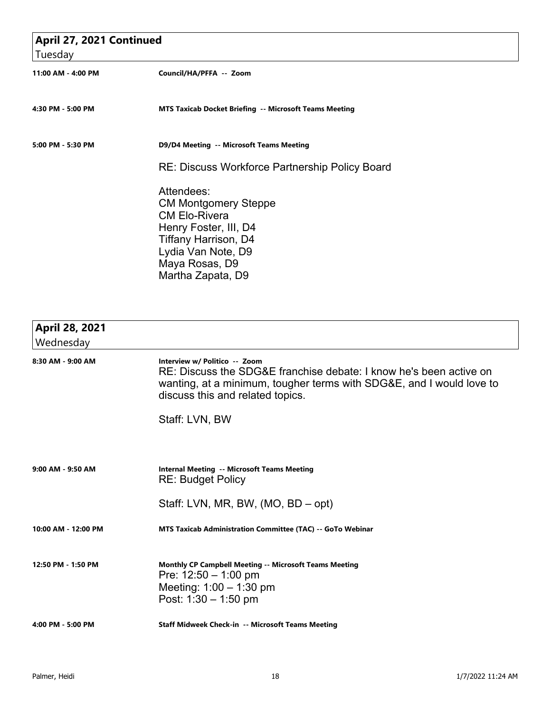| April 27, 2021 Continued |                                                                                                                                                                                 |
|--------------------------|---------------------------------------------------------------------------------------------------------------------------------------------------------------------------------|
| Tuesday                  |                                                                                                                                                                                 |
| 11:00 AM - 4:00 PM       | Council/HA/PFFA -- Zoom                                                                                                                                                         |
| 4:30 PM - 5:00 PM        | MTS Taxicab Docket Briefing -- Microsoft Teams Meeting                                                                                                                          |
| 5:00 PM - 5:30 PM        | D9/D4 Meeting -- Microsoft Teams Meeting                                                                                                                                        |
|                          | <b>RE: Discuss Workforce Partnership Policy Board</b>                                                                                                                           |
|                          | Attendees:<br><b>CM Montgomery Steppe</b><br><b>CM Elo-Rivera</b><br>Henry Foster, III, D4<br>Tiffany Harrison, D4<br>Lydia Van Note, D9<br>Maya Rosas, D9<br>Martha Zapata, D9 |

| April 28, 2021        |                                                                                                                                                                                                                 |
|-----------------------|-----------------------------------------------------------------------------------------------------------------------------------------------------------------------------------------------------------------|
| Wednesday             |                                                                                                                                                                                                                 |
| 8:30 AM - 9:00 AM     | Interview w/ Politico -- Zoom<br>RE: Discuss the SDG&E franchise debate: I know he's been active on<br>wanting, at a minimum, tougher terms with SDG&E, and I would love to<br>discuss this and related topics. |
|                       | Staff: LVN, BW                                                                                                                                                                                                  |
|                       |                                                                                                                                                                                                                 |
| $9:00$ AM - $9:50$ AM | <b>Internal Meeting -- Microsoft Teams Meeting</b><br><b>RE: Budget Policy</b>                                                                                                                                  |
|                       | Staff: LVN, MR, BW, (MO, BD – opt)                                                                                                                                                                              |
| 10:00 AM - 12:00 PM   | MTS Taxicab Administration Committee (TAC) -- GoTo Webinar                                                                                                                                                      |
| 12:50 PM - 1:50 PM    | <b>Monthly CP Campbell Meeting -- Microsoft Teams Meeting</b><br>Pre: $12:50 - 1:00$ pm<br>Meeting: $1:00 - 1:30$ pm<br>Post: $1:30 - 1:50$ pm                                                                  |
| 4:00 PM - 5:00 PM     | Staff Midweek Check-in -- Microsoft Teams Meeting                                                                                                                                                               |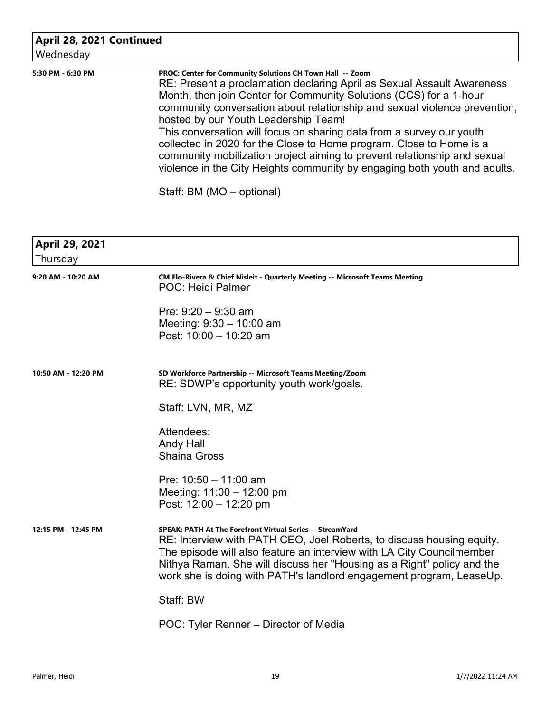## **April 28, 2021 Continued**

| Wednesday         |                                                                                                                                                                                                                                                                                                                                                                                                                                                                                                                                                                                                                                        |
|-------------------|----------------------------------------------------------------------------------------------------------------------------------------------------------------------------------------------------------------------------------------------------------------------------------------------------------------------------------------------------------------------------------------------------------------------------------------------------------------------------------------------------------------------------------------------------------------------------------------------------------------------------------------|
| 5:30 PM - 6:30 PM | PROC: Center for Community Solutions CH Town Hall -- Zoom<br>RE: Present a proclamation declaring April as Sexual Assault Awareness<br>Month, then join Center for Community Solutions (CCS) for a 1-hour<br>community conversation about relationship and sexual violence prevention,<br>hosted by our Youth Leadership Team!<br>This conversation will focus on sharing data from a survey our youth<br>collected in 2020 for the Close to Home program. Close to Home is a<br>community mobilization project aiming to prevent relationship and sexual<br>violence in the City Heights community by engaging both youth and adults. |

Staff: BM (MO – optional)

| <b>April 29, 2021</b><br>Thursday |                                                                                                                                                                                                                                                                                                                                                                     |
|-----------------------------------|---------------------------------------------------------------------------------------------------------------------------------------------------------------------------------------------------------------------------------------------------------------------------------------------------------------------------------------------------------------------|
| 9:20 AM - 10:20 AM                | CM Elo-Rivera & Chief Nisleit - Quarterly Meeting -- Microsoft Teams Meeting<br>POC: Heidi Palmer                                                                                                                                                                                                                                                                   |
|                                   | Pre: $9:20 - 9:30$ am<br>Meeting: $9:30 - 10:00$ am<br>Post: $10:00 - 10:20$ am                                                                                                                                                                                                                                                                                     |
| 10:50 AM - 12:20 PM               | SD Workforce Partnership -- Microsoft Teams Meeting/Zoom<br>RE: SDWP's opportunity youth work/goals.                                                                                                                                                                                                                                                                |
|                                   | Staff: LVN, MR, MZ                                                                                                                                                                                                                                                                                                                                                  |
|                                   | Attendees:<br>Andy Hall<br><b>Shaina Gross</b>                                                                                                                                                                                                                                                                                                                      |
|                                   | Pre: $10:50 - 11:00$ am<br>Meeting: $11:00 - 12:00$ pm<br>Post: 12:00 - 12:20 pm                                                                                                                                                                                                                                                                                    |
| 12:15 PM - 12:45 PM               | <b>SPEAK: PATH At The Forefront Virtual Series -- StreamYard</b><br>RE: Interview with PATH CEO, Joel Roberts, to discuss housing equity.<br>The episode will also feature an interview with LA City Councilmember<br>Nithya Raman. She will discuss her "Housing as a Right" policy and the<br>work she is doing with PATH's landlord engagement program, LeaseUp. |
|                                   | Staff: BW                                                                                                                                                                                                                                                                                                                                                           |
|                                   | POC: Tyler Renner – Director of Media                                                                                                                                                                                                                                                                                                                               |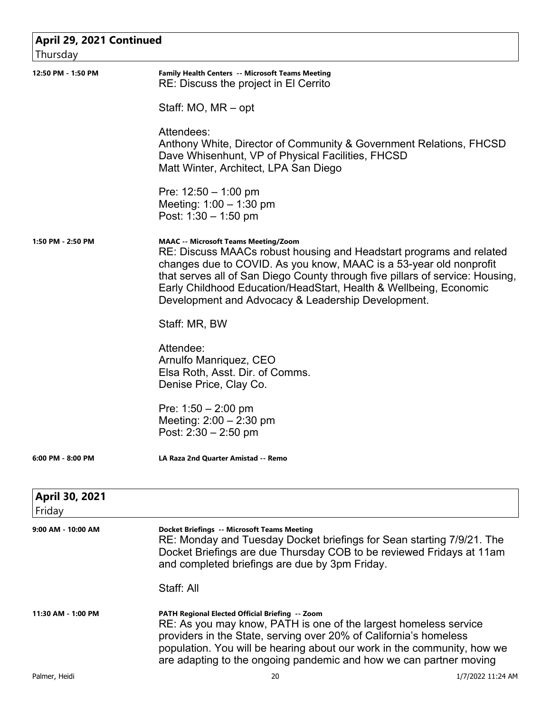| April 29, 2021 Continued<br>Thursday |                                                                                                                                                                                                                                                                                                                                                                                                      |
|--------------------------------------|------------------------------------------------------------------------------------------------------------------------------------------------------------------------------------------------------------------------------------------------------------------------------------------------------------------------------------------------------------------------------------------------------|
| 12:50 PM - 1:50 PM                   | Family Health Centers -- Microsoft Teams Meeting<br>RE: Discuss the project in El Cerrito                                                                                                                                                                                                                                                                                                            |
|                                      | Staff: MO, MR - opt                                                                                                                                                                                                                                                                                                                                                                                  |
|                                      | Attendees:<br>Anthony White, Director of Community & Government Relations, FHCSD<br>Dave Whisenhunt, VP of Physical Facilities, FHCSD<br>Matt Winter, Architect, LPA San Diego                                                                                                                                                                                                                       |
|                                      | Pre: $12:50 - 1:00$ pm<br>Meeting: $1:00 - 1:30$ pm<br>Post: $1:30 - 1:50$ pm                                                                                                                                                                                                                                                                                                                        |
| 1:50 PM - 2:50 PM                    | <b>MAAC -- Microsoft Teams Meeting/Zoom</b><br>RE: Discuss MAACs robust housing and Headstart programs and related<br>changes due to COVID. As you know, MAAC is a 53-year old nonprofit<br>that serves all of San Diego County through five pillars of service: Housing,<br>Early Childhood Education/HeadStart, Health & Wellbeing, Economic<br>Development and Advocacy & Leadership Development. |
|                                      | Staff: MR, BW                                                                                                                                                                                                                                                                                                                                                                                        |
|                                      | Attendee:<br>Arnulfo Manriquez, CEO<br>Elsa Roth, Asst. Dir. of Comms.<br>Denise Price, Clay Co.                                                                                                                                                                                                                                                                                                     |
|                                      | Pre: $1:50 - 2:00$ pm<br>Meeting: $2:00 - 2:30$ pm<br>Post: $2:30 - 2:50$ pm                                                                                                                                                                                                                                                                                                                         |
| $6:00$ PM - $8:00$ PM                | <b>LA Raza 2nd Quarter Amistad -- Remo</b>                                                                                                                                                                                                                                                                                                                                                           |
| April 30, 2021<br>Friday             |                                                                                                                                                                                                                                                                                                                                                                                                      |
| 9:00 AM - 10:00 AM                   | <b>Docket Briefings -- Microsoft Teams Meeting</b><br>RE: Monday and Tuesday Docket briefings for Sean starting 7/9/21. The<br>Docket Briefings are due Thursday COB to be reviewed Fridays at 11am<br>and completed briefings are due by 3pm Friday.                                                                                                                                                |
|                                      | Staff: All                                                                                                                                                                                                                                                                                                                                                                                           |
| 11:30 AM - 1:00 PM                   | PATH Regional Elected Official Briefing -- Zoom<br>RE: As you may know, PATH is one of the largest homeless service<br>providers in the State, serving over 20% of California's homeless<br>population. You will be hearing about our work in the community, how we<br>are adapting to the ongoing pandemic and how we can partner moving                                                            |
| Palmer, Heidi                        | 20<br>1/7/2022 11:24 AM                                                                                                                                                                                                                                                                                                                                                                              |